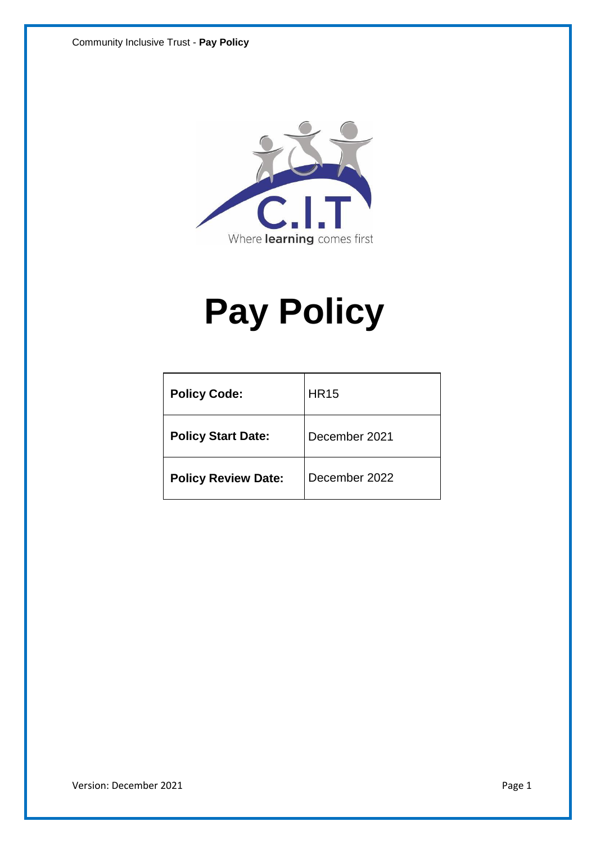

# **Pay Policy**

| <b>Policy Code:</b>        | <b>HR15</b>   |  |
|----------------------------|---------------|--|
| <b>Policy Start Date:</b>  | December 2021 |  |
| <b>Policy Review Date:</b> | December 2022 |  |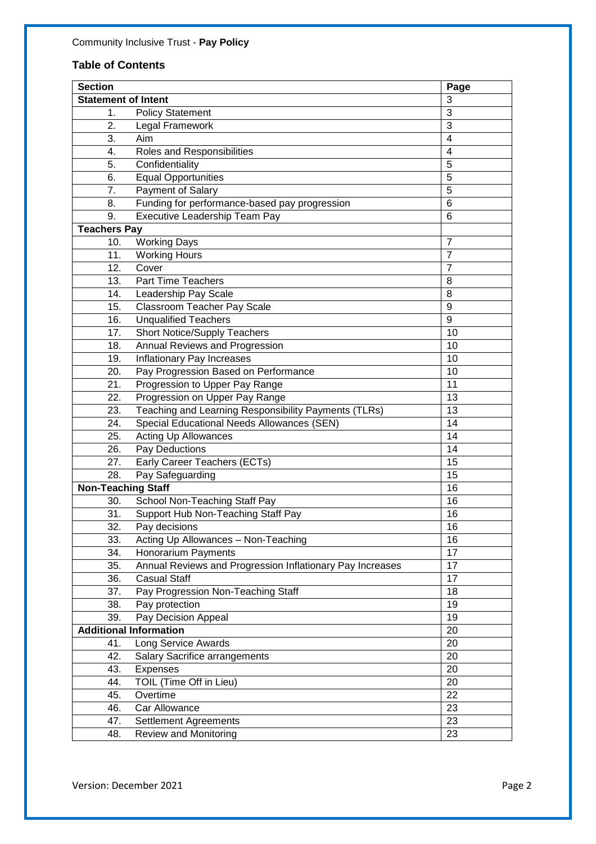## **Table of Contents**

| <b>Section</b>             |                                                           | Page           |
|----------------------------|-----------------------------------------------------------|----------------|
| <b>Statement of Intent</b> |                                                           | 3              |
| 1.                         | <b>Policy Statement</b>                                   | 3              |
| 2.                         | Legal Framework                                           | 3              |
| 3.                         | Aim                                                       | 4              |
| 4.                         | Roles and Responsibilities                                | $\overline{4}$ |
| 5.                         | Confidentiality                                           | 5              |
| 6.                         | <b>Equal Opportunities</b>                                | $\overline{5}$ |
| 7.                         | Payment of Salary                                         | 5              |
| 8.                         | Funding for performance-based pay progression             | 6              |
| 9.                         | Executive Leadership Team Pay                             | 6              |
| <b>Teachers Pay</b>        |                                                           |                |
| 10.                        | <b>Working Days</b>                                       | $\overline{7}$ |
| 11.                        | <b>Working Hours</b>                                      | 7              |
| 12.                        | Cover                                                     | $\overline{7}$ |
| 13.                        | <b>Part Time Teachers</b>                                 | 8              |
| 14.                        | Leadership Pay Scale                                      | 8              |
| 15.                        | Classroom Teacher Pay Scale                               | 9              |
| 16.                        | <b>Unqualified Teachers</b>                               | 9              |
| 17.                        | <b>Short Notice/Supply Teachers</b>                       | 10             |
| 18.                        | <b>Annual Reviews and Progression</b>                     | 10             |
| 19.                        | Inflationary Pay Increases                                | 10             |
| 20.                        | Pay Progression Based on Performance                      | 10             |
| 21.                        | Progression to Upper Pay Range                            | 11             |
| 22.                        | Progression on Upper Pay Range                            | 13             |
| 23.                        | Teaching and Learning Responsibility Payments (TLRs)      | 13             |
| 24.                        | Special Educational Needs Allowances (SEN)                | 14             |
| 25.                        | <b>Acting Up Allowances</b>                               | 14             |
| 26.                        | Pay Deductions                                            | 14             |
| 27.                        | Early Career Teachers (ECTs)                              | 15             |
| 28.                        | Pay Safeguarding                                          | 15             |
| <b>Non-Teaching Staff</b>  |                                                           | 16             |
| 30.                        | School Non-Teaching Staff Pay                             | 16             |
| 31.                        | Support Hub Non-Teaching Staff Pay                        | 16             |
| 32.                        | Pay decisions                                             | 16             |
| 33.                        | Acting Up Allowances - Non-Teaching                       | 16             |
| 34.                        | <b>Honorarium Payments</b>                                | 17             |
| 35.                        | Annual Reviews and Progression Inflationary Pay Increases | 17             |
| 36.                        | <b>Casual Staff</b>                                       | 17             |
| 37.                        | Pay Progression Non-Teaching Staff                        | 18             |
| 38.                        | Pay protection                                            | 19             |
| 39.                        | Pay Decision Appeal                                       | 19             |
|                            | <b>Additional Information</b>                             | 20             |
| 41.                        | Long Service Awards                                       | 20             |
| 42.                        | <b>Salary Sacrifice arrangements</b>                      | 20             |
| 43.                        | Expenses                                                  | 20             |
| 44.                        | TOIL (Time Off in Lieu)                                   | 20             |
| 45.                        | Overtime                                                  | 22             |
| 46.                        | Car Allowance                                             | 23             |
| 47.                        | Settlement Agreements                                     | 23             |
| 48.                        | <b>Review and Monitoring</b>                              | 23             |
|                            |                                                           |                |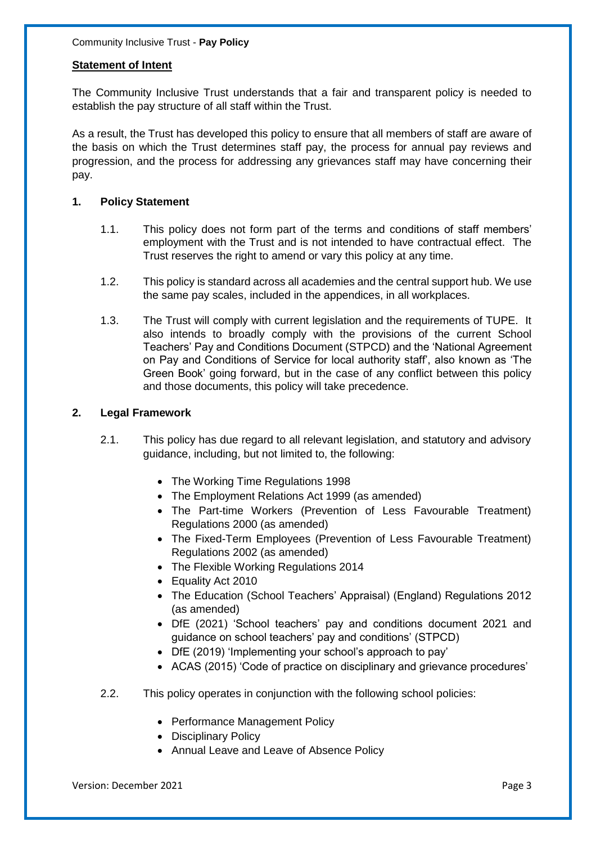#### **Statement of Intent**

The Community Inclusive Trust understands that a fair and transparent policy is needed to establish the pay structure of all staff within the Trust.

As a result, the Trust has developed this policy to ensure that all members of staff are aware of the basis on which the Trust determines staff pay, the process for annual pay reviews and progression, and the process for addressing any grievances staff may have concerning their pay.

#### **1. Policy Statement**

- 1.1. This policy does not form part of the terms and conditions of staff members' employment with the Trust and is not intended to have contractual effect. The Trust reserves the right to amend or vary this policy at any time.
- 1.2. This policy is standard across all academies and the central support hub. We use the same pay scales, included in the appendices, in all workplaces.
- 1.3. The Trust will comply with current legislation and the requirements of TUPE. It also intends to broadly comply with the provisions of the current School Teachers' Pay and Conditions Document (STPCD) and the 'National Agreement on Pay and Conditions of Service for local authority staff', also known as 'The Green Book' going forward, but in the case of any conflict between this policy and those documents, this policy will take precedence.

#### **2. Legal Framework**

- 2.1. This policy has due regard to all relevant legislation, and statutory and advisory guidance, including, but not limited to, the following:
	- The Working Time Regulations 1998
	- The Employment Relations Act 1999 (as amended)
	- The Part-time Workers (Prevention of Less Favourable Treatment) Regulations 2000 (as amended)
	- The Fixed-Term Employees (Prevention of Less Favourable Treatment) Regulations 2002 (as amended)
	- The Flexible Working Regulations 2014
	- Equality Act 2010
	- The Education (School Teachers' Appraisal) (England) Regulations 2012 (as amended)
	- DfE (2021) 'School teachers' pay and conditions document 2021 and guidance on school teachers' pay and conditions' (STPCD)
	- DfE (2019) 'Implementing your school's approach to pay'
	- ACAS (2015) 'Code of practice on disciplinary and grievance procedures'
- 2.2. This policy operates in conjunction with the following school policies:
	- Performance Management Policy
	- Disciplinary Policy
	- Annual Leave and Leave of Absence Policy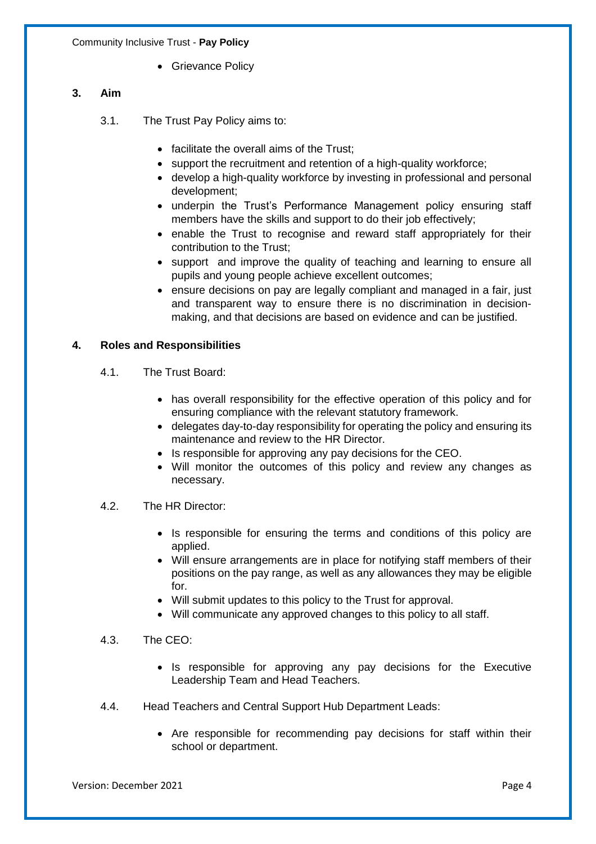• Grievance Policy

#### **3. Aim**

- 3.1. The Trust Pay Policy aims to:
	- facilitate the overall aims of the Trust;
	- support the recruitment and retention of a high-quality workforce;
	- develop a high-quality workforce by investing in professional and personal development;
	- underpin the Trust's Performance Management policy ensuring staff members have the skills and support to do their job effectively;
	- enable the Trust to recognise and reward staff appropriately for their contribution to the Trust;
	- support and improve the quality of teaching and learning to ensure all pupils and young people achieve excellent outcomes;
	- ensure decisions on pay are legally compliant and managed in a fair, just and transparent way to ensure there is no discrimination in decisionmaking, and that decisions are based on evidence and can be justified.

#### **4. Roles and Responsibilities**

- 4.1. The Trust Board:
	- has overall responsibility for the effective operation of this policy and for ensuring compliance with the relevant statutory framework.
	- delegates day-to-day responsibility for operating the policy and ensuring its maintenance and review to the HR Director.
	- Is responsible for approving any pay decisions for the CEO.
	- Will monitor the outcomes of this policy and review any changes as necessary.
- 4.2. The HR Director:
	- Is responsible for ensuring the terms and conditions of this policy are applied.
	- Will ensure arrangements are in place for notifying staff members of their positions on the pay range, as well as any allowances they may be eligible for.
	- Will submit updates to this policy to the Trust for approval.
	- Will communicate any approved changes to this policy to all staff.

#### 4.3. The CEO:

- Is responsible for approving any pay decisions for the Executive Leadership Team and Head Teachers.
- 4.4. Head Teachers and Central Support Hub Department Leads:
	- Are responsible for recommending pay decisions for staff within their school or department.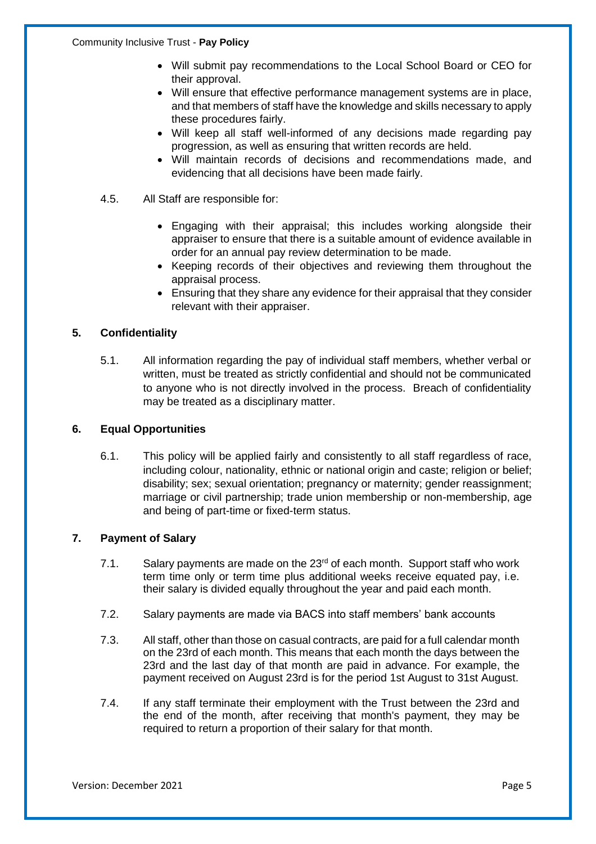- Will submit pay recommendations to the Local School Board or CEO for their approval.
- Will ensure that effective performance management systems are in place, and that members of staff have the knowledge and skills necessary to apply these procedures fairly.
- Will keep all staff well-informed of any decisions made regarding pay progression, as well as ensuring that written records are held.
- Will maintain records of decisions and recommendations made, and evidencing that all decisions have been made fairly.
- 4.5. All Staff are responsible for:
	- Engaging with their appraisal; this includes working alongside their appraiser to ensure that there is a suitable amount of evidence available in order for an annual pay review determination to be made.
	- Keeping records of their objectives and reviewing them throughout the appraisal process.
	- Ensuring that they share any evidence for their appraisal that they consider relevant with their appraiser.

#### **5. Confidentiality**

5.1. All information regarding the pay of individual staff members, whether verbal or written, must be treated as strictly confidential and should not be communicated to anyone who is not directly involved in the process. Breach of confidentiality may be treated as a disciplinary matter.

#### **6. Equal Opportunities**

6.1. This policy will be applied fairly and consistently to all staff regardless of race, including colour, nationality, ethnic or national origin and caste; religion or belief; disability; sex; sexual orientation; pregnancy or maternity; gender reassignment; marriage or civil partnership; trade union membership or non-membership, age and being of part-time or fixed-term status.

#### **7. Payment of Salary**

- 7.1. Salary payments are made on the  $23<sup>rd</sup>$  of each month. Support staff who work term time only or term time plus additional weeks receive equated pay, i.e. their salary is divided equally throughout the year and paid each month.
- 7.2. Salary payments are made via BACS into staff members' bank accounts
- 7.3. All staff, other than those on casual contracts, are paid for a full calendar month on the 23rd of each month. This means that each month the days between the 23rd and the last day of that month are paid in advance. For example, the payment received on August 23rd is for the period 1st August to 31st August.
- 7.4. If any staff terminate their employment with the Trust between the 23rd and the end of the month, after receiving that month's payment, they may be required to return a proportion of their salary for that month.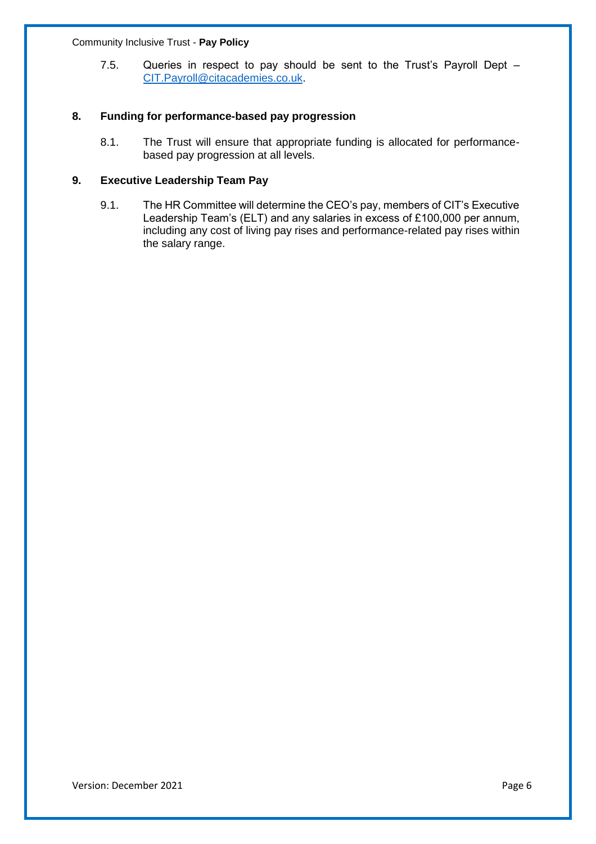7.5. Queries in respect to pay should be sent to the Trust's Payroll Dept – [CIT.Payroll@citacademies.co.uk.](mailto:CIT.Payroll@citacademies.co.uk)

#### **8. Funding for performance-based pay progression**

8.1. The Trust will ensure that appropriate funding is allocated for performancebased pay progression at all levels.

#### **9. Executive Leadership Team Pay**

9.1. The HR Committee will determine the CEO's pay, members of CIT's Executive Leadership Team's (ELT) and any salaries in excess of £100,000 per annum, including any cost of living pay rises and performance-related pay rises within the salary range.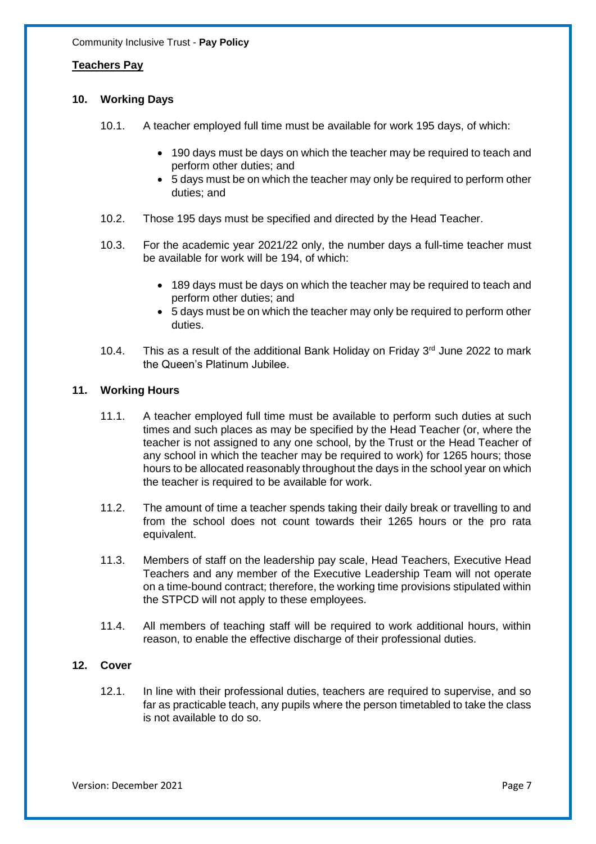#### **Teachers Pay**

#### **10. Working Days**

- 10.1. A teacher employed full time must be available for work 195 days, of which:
	- 190 days must be days on which the teacher may be required to teach and perform other duties; and
	- 5 days must be on which the teacher may only be required to perform other duties; and
- 10.2. Those 195 days must be specified and directed by the Head Teacher.
- 10.3. For the academic year 2021/22 only, the number days a full-time teacher must be available for work will be 194, of which:
	- 189 days must be days on which the teacher may be required to teach and perform other duties; and
	- 5 days must be on which the teacher may only be required to perform other duties.
- 10.4. This as a result of the additional Bank Holiday on Friday  $3<sup>rd</sup>$  June 2022 to mark the Queen's Platinum Jubilee.

#### **11. Working Hours**

- 11.1. A teacher employed full time must be available to perform such duties at such times and such places as may be specified by the Head Teacher (or, where the teacher is not assigned to any one school, by the Trust or the Head Teacher of any school in which the teacher may be required to work) for 1265 hours; those hours to be allocated reasonably throughout the days in the school year on which the teacher is required to be available for work.
- 11.2. The amount of time a teacher spends taking their daily break or travelling to and from the school does not count towards their 1265 hours or the pro rata equivalent.
- 11.3. Members of staff on the leadership pay scale, Head Teachers, Executive Head Teachers and any member of the Executive Leadership Team will not operate on a time-bound contract; therefore, the working time provisions stipulated within the STPCD will not apply to these employees.
- 11.4. All members of teaching staff will be required to work additional hours, within reason, to enable the effective discharge of their professional duties.

#### **12. Cover**

12.1. In line with their professional duties, teachers are required to supervise, and so far as practicable teach, any pupils where the person timetabled to take the class is not available to do so.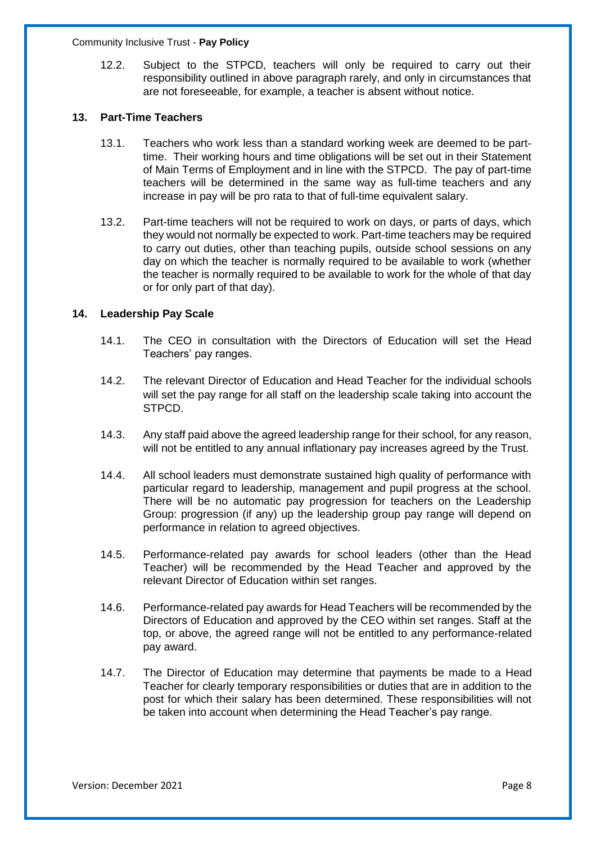12.2. Subject to the STPCD, teachers will only be required to carry out their responsibility outlined in above paragraph rarely, and only in circumstances that are not foreseeable, for example, a teacher is absent without notice.

#### **13. Part-Time Teachers**

- 13.1. Teachers who work less than a standard working week are deemed to be parttime. Their working hours and time obligations will be set out in their Statement of Main Terms of Employment and in line with the STPCD. The pay of part-time teachers will be determined in the same way as full-time teachers and any increase in pay will be pro rata to that of full-time equivalent salary.
- 13.2. Part-time teachers will not be required to work on days, or parts of days, which they would not normally be expected to work. Part-time teachers may be required to carry out duties, other than teaching pupils, outside school sessions on any day on which the teacher is normally required to be available to work (whether the teacher is normally required to be available to work for the whole of that day or for only part of that day).

#### **14. Leadership Pay Scale**

- 14.1. The CEO in consultation with the Directors of Education will set the Head Teachers' pay ranges.
- 14.2. The relevant Director of Education and Head Teacher for the individual schools will set the pay range for all staff on the leadership scale taking into account the STPCD.
- 14.3. Any staff paid above the agreed leadership range for their school, for any reason, will not be entitled to any annual inflationary pay increases agreed by the Trust.
- 14.4. All school leaders must demonstrate sustained high quality of performance with particular regard to leadership, management and pupil progress at the school. There will be no automatic pay progression for teachers on the Leadership Group: progression (if any) up the leadership group pay range will depend on performance in relation to agreed objectives.
- 14.5. Performance-related pay awards for school leaders (other than the Head Teacher) will be recommended by the Head Teacher and approved by the relevant Director of Education within set ranges.
- 14.6. Performance-related pay awards for Head Teachers will be recommended by the Directors of Education and approved by the CEO within set ranges. Staff at the top, or above, the agreed range will not be entitled to any performance-related pay award.
- 14.7. The Director of Education may determine that payments be made to a Head Teacher for clearly temporary responsibilities or duties that are in addition to the post for which their salary has been determined. These responsibilities will not be taken into account when determining the Head Teacher's pay range.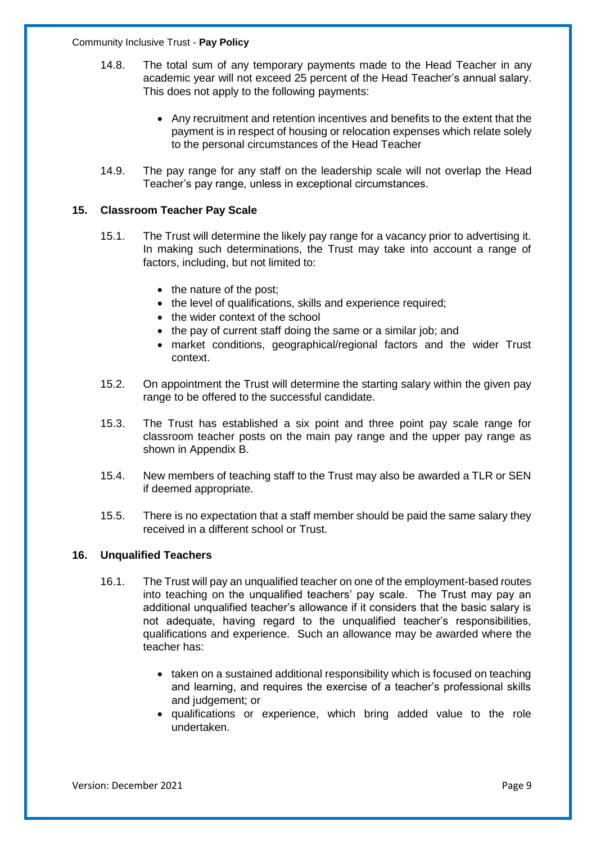- 14.8. The total sum of any temporary payments made to the Head Teacher in any academic year will not exceed 25 percent of the Head Teacher's annual salary. This does not apply to the following payments:
	- Any recruitment and retention incentives and benefits to the extent that the payment is in respect of housing or relocation expenses which relate solely to the personal circumstances of the Head Teacher
- 14.9. The pay range for any staff on the leadership scale will not overlap the Head Teacher's pay range, unless in exceptional circumstances.

#### **15. Classroom Teacher Pay Scale**

- 15.1. The Trust will determine the likely pay range for a vacancy prior to advertising it. In making such determinations, the Trust may take into account a range of factors, including, but not limited to:
	- the nature of the post;
	- the level of qualifications, skills and experience required;
	- the wider context of the school
	- the pay of current staff doing the same or a similar job; and
	- market conditions, geographical/regional factors and the wider Trust context.
- 15.2. On appointment the Trust will determine the starting salary within the given pay range to be offered to the successful candidate.
- 15.3. The Trust has established a six point and three point pay scale range for classroom teacher posts on the main pay range and the upper pay range as shown in Appendix B.
- 15.4. New members of teaching staff to the Trust may also be awarded a TLR or SEN if deemed appropriate.
- 15.5. There is no expectation that a staff member should be paid the same salary they received in a different school or Trust.

#### **16. Unqualified Teachers**

- 16.1. The Trust will pay an unqualified teacher on one of the employment-based routes into teaching on the unqualified teachers' pay scale. The Trust may pay an additional unqualified teacher's allowance if it considers that the basic salary is not adequate, having regard to the unqualified teacher's responsibilities, qualifications and experience. Such an allowance may be awarded where the teacher has:
	- taken on a sustained additional responsibility which is focused on teaching and learning, and requires the exercise of a teacher's professional skills and judgement; or
	- qualifications or experience, which bring added value to the role undertaken.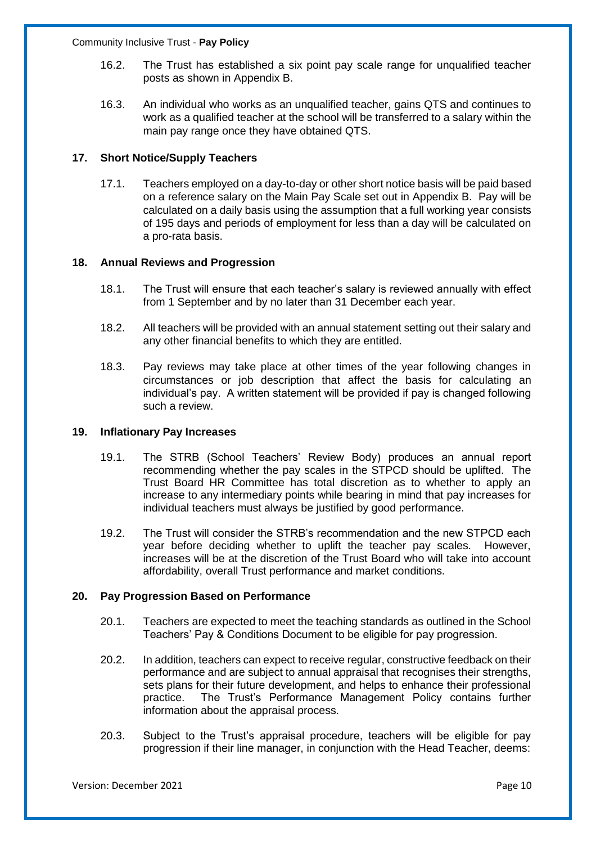- 16.2. The Trust has established a six point pay scale range for unqualified teacher posts as shown in Appendix B.
- 16.3. An individual who works as an unqualified teacher, gains QTS and continues to work as a qualified teacher at the school will be transferred to a salary within the main pay range once they have obtained QTS.

#### **17. Short Notice/Supply Teachers**

17.1. Teachers employed on a day-to-day or other short notice basis will be paid based on a reference salary on the Main Pay Scale set out in Appendix B. Pay will be calculated on a daily basis using the assumption that a full working year consists of 195 days and periods of employment for less than a day will be calculated on a pro-rata basis.

#### **18. Annual Reviews and Progression**

- 18.1. The Trust will ensure that each teacher's salary is reviewed annually with effect from 1 September and by no later than 31 December each year.
- 18.2. All teachers will be provided with an annual statement setting out their salary and any other financial benefits to which they are entitled.
- 18.3. Pay reviews may take place at other times of the year following changes in circumstances or job description that affect the basis for calculating an individual's pay. A written statement will be provided if pay is changed following such a review.

#### **19. Inflationary Pay Increases**

- 19.1. The STRB (School Teachers' Review Body) produces an annual report recommending whether the pay scales in the STPCD should be uplifted. The Trust Board HR Committee has total discretion as to whether to apply an increase to any intermediary points while bearing in mind that pay increases for individual teachers must always be justified by good performance.
- 19.2. The Trust will consider the STRB's recommendation and the new STPCD each year before deciding whether to uplift the teacher pay scales. However, increases will be at the discretion of the Trust Board who will take into account affordability, overall Trust performance and market conditions.

#### **20. Pay Progression Based on Performance**

- 20.1. Teachers are expected to meet the teaching standards as outlined in the School Teachers' Pay & Conditions Document to be eligible for pay progression.
- 20.2. In addition, teachers can expect to receive regular, constructive feedback on their performance and are subject to annual appraisal that recognises their strengths, sets plans for their future development, and helps to enhance their professional practice. The Trust's Performance Management Policy contains further information about the appraisal process.
- 20.3. Subject to the Trust's appraisal procedure, teachers will be eligible for pay progression if their line manager, in conjunction with the Head Teacher, deems: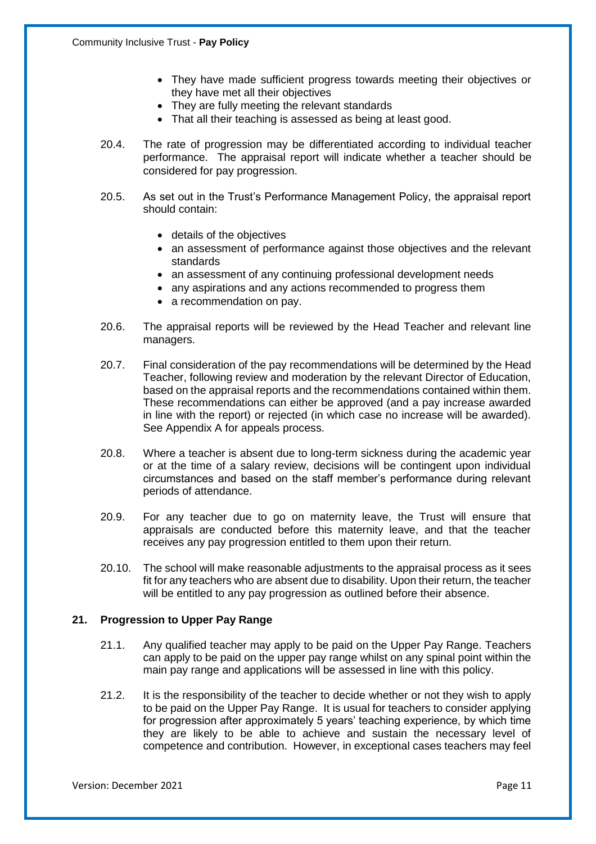- They have made sufficient progress towards meeting their objectives or they have met all their objectives
- They are fully meeting the relevant standards
- That all their teaching is assessed as being at least good.
- 20.4. The rate of progression may be differentiated according to individual teacher performance. The appraisal report will indicate whether a teacher should be considered for pay progression.
- 20.5. As set out in the Trust's Performance Management Policy, the appraisal report should contain:
	- details of the objectives
	- an assessment of performance against those objectives and the relevant standards
	- an assessment of any continuing professional development needs
	- any aspirations and any actions recommended to progress them
	- a recommendation on pay.
- 20.6. The appraisal reports will be reviewed by the Head Teacher and relevant line managers.
- 20.7. Final consideration of the pay recommendations will be determined by the Head Teacher, following review and moderation by the relevant Director of Education, based on the appraisal reports and the recommendations contained within them. These recommendations can either be approved (and a pay increase awarded in line with the report) or rejected (in which case no increase will be awarded). See Appendix A for appeals process.
- 20.8. Where a teacher is absent due to long-term sickness during the academic year or at the time of a salary review, decisions will be contingent upon individual circumstances and based on the staff member's performance during relevant periods of attendance.
- 20.9. For any teacher due to go on maternity leave, the Trust will ensure that appraisals are conducted before this maternity leave, and that the teacher receives any pay progression entitled to them upon their return.
- 20.10. The school will make reasonable adjustments to the appraisal process as it sees fit for any teachers who are absent due to disability. Upon their return, the teacher will be entitled to any pay progression as outlined before their absence.

#### **21. Progression to Upper Pay Range**

- 21.1. Any qualified teacher may apply to be paid on the Upper Pay Range. Teachers can apply to be paid on the upper pay range whilst on any spinal point within the main pay range and applications will be assessed in line with this policy.
- 21.2. It is the responsibility of the teacher to decide whether or not they wish to apply to be paid on the Upper Pay Range. It is usual for teachers to consider applying for progression after approximately 5 years' teaching experience, by which time they are likely to be able to achieve and sustain the necessary level of competence and contribution. However, in exceptional cases teachers may feel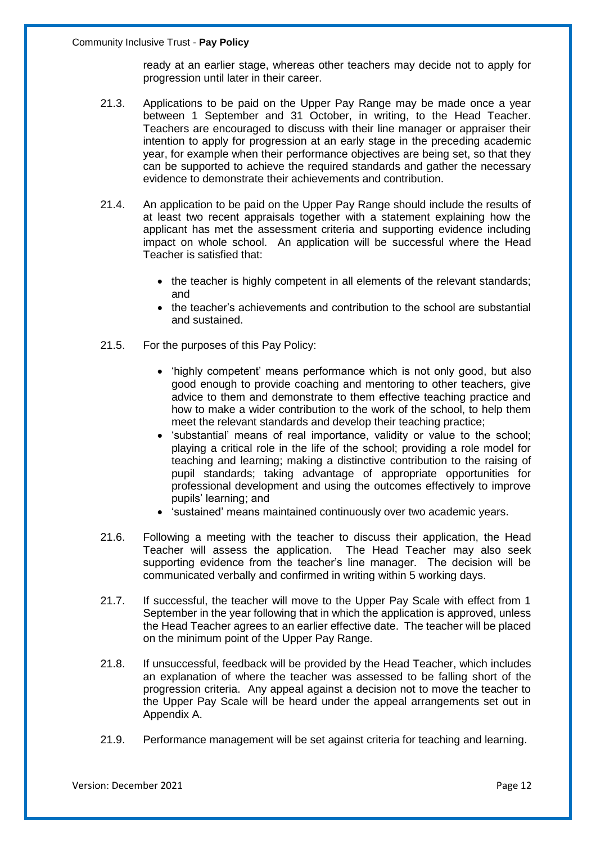ready at an earlier stage, whereas other teachers may decide not to apply for progression until later in their career.

- 21.3. Applications to be paid on the Upper Pay Range may be made once a year between 1 September and 31 October, in writing, to the Head Teacher. Teachers are encouraged to discuss with their line manager or appraiser their intention to apply for progression at an early stage in the preceding academic year, for example when their performance objectives are being set, so that they can be supported to achieve the required standards and gather the necessary evidence to demonstrate their achievements and contribution.
- 21.4. An application to be paid on the Upper Pay Range should include the results of at least two recent appraisals together with a statement explaining how the applicant has met the assessment criteria and supporting evidence including impact on whole school. An application will be successful where the Head Teacher is satisfied that:
	- the teacher is highly competent in all elements of the relevant standards; and
	- the teacher's achievements and contribution to the school are substantial and sustained.
- 21.5. For the purposes of this Pay Policy:
	- 'highly competent' means performance which is not only good, but also good enough to provide coaching and mentoring to other teachers, give advice to them and demonstrate to them effective teaching practice and how to make a wider contribution to the work of the school, to help them meet the relevant standards and develop their teaching practice;
	- 'substantial' means of real importance, validity or value to the school; playing a critical role in the life of the school; providing a role model for teaching and learning; making a distinctive contribution to the raising of pupil standards; taking advantage of appropriate opportunities for professional development and using the outcomes effectively to improve pupils' learning; and
	- 'sustained' means maintained continuously over two academic years.
- 21.6. Following a meeting with the teacher to discuss their application, the Head Teacher will assess the application. The Head Teacher may also seek supporting evidence from the teacher's line manager. The decision will be communicated verbally and confirmed in writing within 5 working days.
- 21.7. If successful, the teacher will move to the Upper Pay Scale with effect from 1 September in the year following that in which the application is approved, unless the Head Teacher agrees to an earlier effective date. The teacher will be placed on the minimum point of the Upper Pay Range.
- 21.8. If unsuccessful, feedback will be provided by the Head Teacher, which includes an explanation of where the teacher was assessed to be falling short of the progression criteria. Any appeal against a decision not to move the teacher to the Upper Pay Scale will be heard under the appeal arrangements set out in Appendix A.
- 21.9. Performance management will be set against criteria for teaching and learning.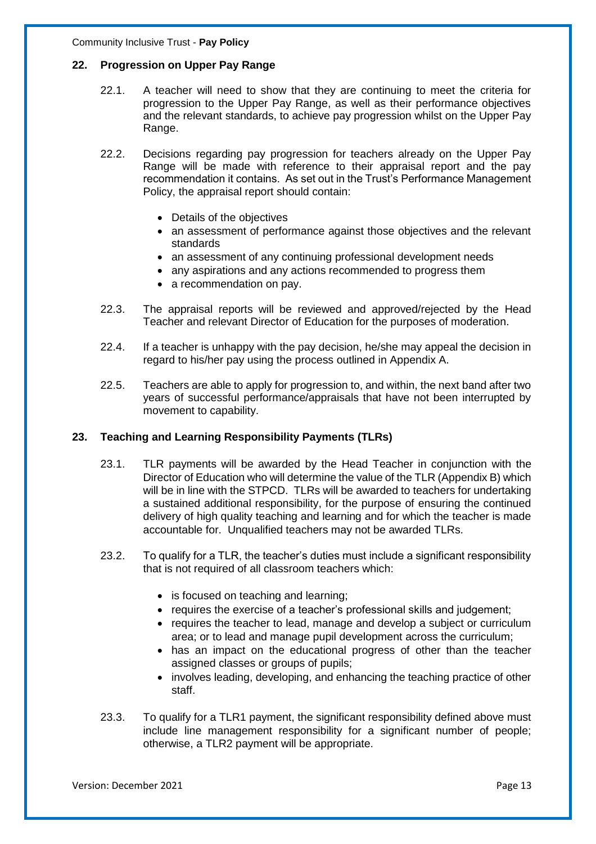#### **22. Progression on Upper Pay Range**

- 22.1. A teacher will need to show that they are continuing to meet the criteria for progression to the Upper Pay Range, as well as their performance objectives and the relevant standards, to achieve pay progression whilst on the Upper Pay Range.
- 22.2. Decisions regarding pay progression for teachers already on the Upper Pay Range will be made with reference to their appraisal report and the pay recommendation it contains. As set out in the Trust's Performance Management Policy, the appraisal report should contain:
	- Details of the objectives
	- an assessment of performance against those objectives and the relevant standards
	- an assessment of any continuing professional development needs
	- any aspirations and any actions recommended to progress them
	- a recommendation on pay.
- 22.3. The appraisal reports will be reviewed and approved/rejected by the Head Teacher and relevant Director of Education for the purposes of moderation.
- 22.4. If a teacher is unhappy with the pay decision, he/she may appeal the decision in regard to his/her pay using the process outlined in Appendix A.
- 22.5. Teachers are able to apply for progression to, and within, the next band after two years of successful performance/appraisals that have not been interrupted by movement to capability.

#### **23. Teaching and Learning Responsibility Payments (TLRs)**

- 23.1. TLR payments will be awarded by the Head Teacher in conjunction with the Director of Education who will determine the value of the TLR (Appendix B) which will be in line with the STPCD. TLRs will be awarded to teachers for undertaking a sustained additional responsibility, for the purpose of ensuring the continued delivery of high quality teaching and learning and for which the teacher is made accountable for. Unqualified teachers may not be awarded TLRs.
- 23.2. To qualify for a TLR, the teacher's duties must include a significant responsibility that is not required of all classroom teachers which:
	- is focused on teaching and learning;
	- requires the exercise of a teacher's professional skills and judgement;
	- requires the teacher to lead, manage and develop a subject or curriculum area; or to lead and manage pupil development across the curriculum;
	- has an impact on the educational progress of other than the teacher assigned classes or groups of pupils;
	- involves leading, developing, and enhancing the teaching practice of other staff.
- 23.3. To qualify for a TLR1 payment, the significant responsibility defined above must include line management responsibility for a significant number of people; otherwise, a TLR2 payment will be appropriate.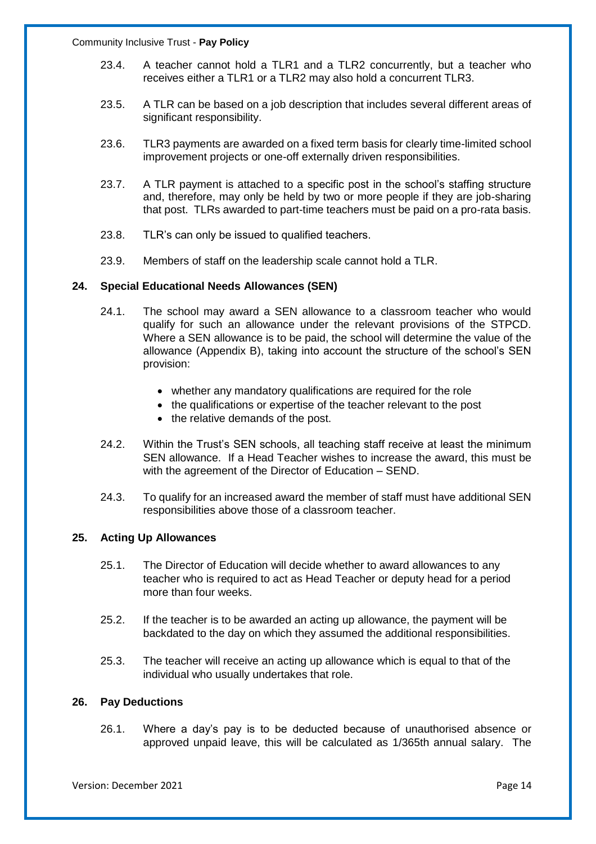- 23.4. A teacher cannot hold a TLR1 and a TLR2 concurrently, but a teacher who receives either a TLR1 or a TLR2 may also hold a concurrent TLR3.
- 23.5. A TLR can be based on a job description that includes several different areas of significant responsibility.
- 23.6. TLR3 payments are awarded on a fixed term basis for clearly time-limited school improvement projects or one-off externally driven responsibilities.
- 23.7. A TLR payment is attached to a specific post in the school's staffing structure and, therefore, may only be held by two or more people if they are job-sharing that post. TLRs awarded to part-time teachers must be paid on a pro-rata basis.
- 23.8. TLR's can only be issued to qualified teachers.
- 23.9. Members of staff on the leadership scale cannot hold a TLR.

#### **24. Special Educational Needs Allowances (SEN)**

- 24.1. The school may award a SEN allowance to a classroom teacher who would qualify for such an allowance under the relevant provisions of the STPCD. Where a SEN allowance is to be paid, the school will determine the value of the allowance (Appendix B), taking into account the structure of the school's SEN provision:
	- whether any mandatory qualifications are required for the role
	- the qualifications or expertise of the teacher relevant to the post
	- the relative demands of the post.
- 24.2. Within the Trust's SEN schools, all teaching staff receive at least the minimum SEN allowance. If a Head Teacher wishes to increase the award, this must be with the agreement of the Director of Education – SEND.
- 24.3. To qualify for an increased award the member of staff must have additional SEN responsibilities above those of a classroom teacher.

#### **25. Acting Up Allowances**

- 25.1. The Director of Education will decide whether to award allowances to any teacher who is required to act as Head Teacher or deputy head for a period more than four weeks.
- 25.2. If the teacher is to be awarded an acting up allowance, the payment will be backdated to the day on which they assumed the additional responsibilities.
- 25.3. The teacher will receive an acting up allowance which is equal to that of the individual who usually undertakes that role.

#### **26. Pay Deductions**

26.1. Where a day's pay is to be deducted because of unauthorised absence or approved unpaid leave, this will be calculated as 1/365th annual salary. The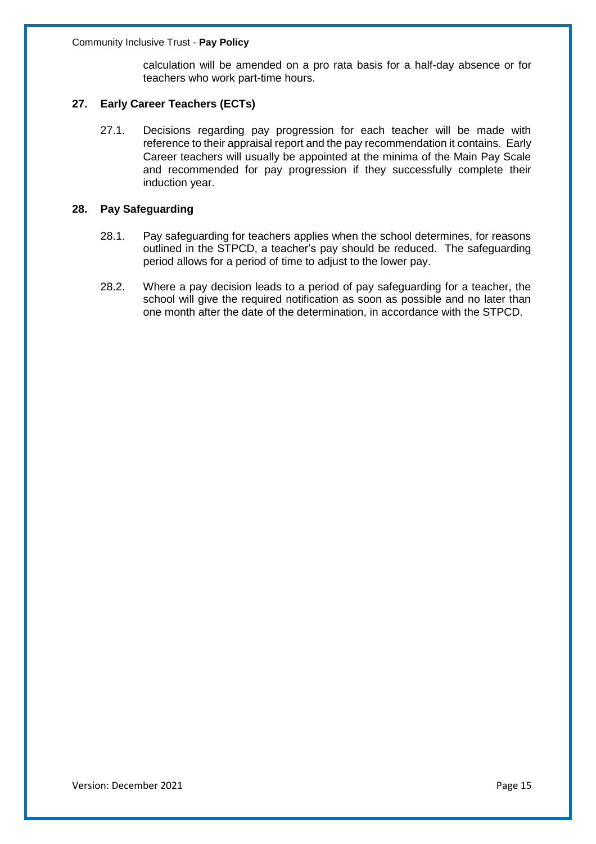calculation will be amended on a pro rata basis for a half-day absence or for teachers who work part-time hours.

#### **27. Early Career Teachers (ECTs)**

27.1. Decisions regarding pay progression for each teacher will be made with reference to their appraisal report and the pay recommendation it contains. Early Career teachers will usually be appointed at the minima of the Main Pay Scale and recommended for pay progression if they successfully complete their induction year.

#### **28. Pay Safeguarding**

- 28.1. Pay safeguarding for teachers applies when the school determines, for reasons outlined in the STPCD, a teacher's pay should be reduced. The safeguarding period allows for a period of time to adjust to the lower pay.
- 28.2. Where a pay decision leads to a period of pay safeguarding for a teacher, the school will give the required notification as soon as possible and no later than one month after the date of the determination, in accordance with the STPCD.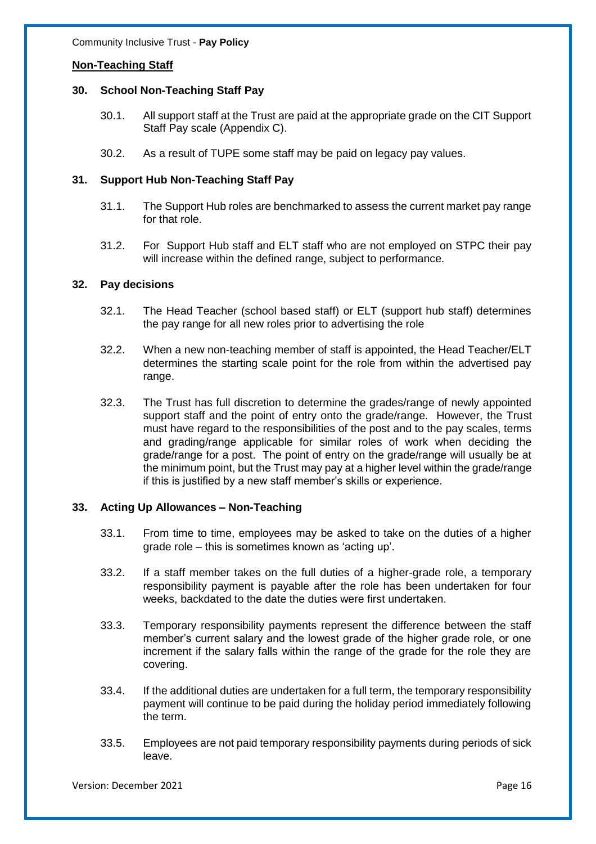#### **Non-Teaching Staff**

#### **30. School Non-Teaching Staff Pay**

- 30.1. All support staff at the Trust are paid at the appropriate grade on the CIT Support Staff Pay scale (Appendix C).
- 30.2. As a result of TUPE some staff may be paid on legacy pay values.

#### **31. Support Hub Non-Teaching Staff Pay**

- 31.1. The Support Hub roles are benchmarked to assess the current market pay range for that role.
- 31.2. For Support Hub staff and ELT staff who are not employed on STPC their pay will increase within the defined range, subject to performance.

#### **32. Pay decisions**

- 32.1. The Head Teacher (school based staff) or ELT (support hub staff) determines the pay range for all new roles prior to advertising the role
- 32.2. When a new non-teaching member of staff is appointed, the Head Teacher/ELT determines the starting scale point for the role from within the advertised pay range.
- 32.3. The Trust has full discretion to determine the grades/range of newly appointed support staff and the point of entry onto the grade/range. However, the Trust must have regard to the responsibilities of the post and to the pay scales, terms and grading/range applicable for similar roles of work when deciding the grade/range for a post. The point of entry on the grade/range will usually be at the minimum point, but the Trust may pay at a higher level within the grade/range if this is justified by a new staff member's skills or experience.

#### **33. Acting Up Allowances – Non-Teaching**

- 33.1. From time to time, employees may be asked to take on the duties of a higher grade role – this is sometimes known as 'acting up'.
- 33.2. If a staff member takes on the full duties of a higher-grade role, a temporary responsibility payment is payable after the role has been undertaken for four weeks, backdated to the date the duties were first undertaken.
- 33.3. Temporary responsibility payments represent the difference between the staff member's current salary and the lowest grade of the higher grade role, or one increment if the salary falls within the range of the grade for the role they are covering.
- 33.4. If the additional duties are undertaken for a full term, the temporary responsibility payment will continue to be paid during the holiday period immediately following the term.
- 33.5. Employees are not paid temporary responsibility payments during periods of sick leave.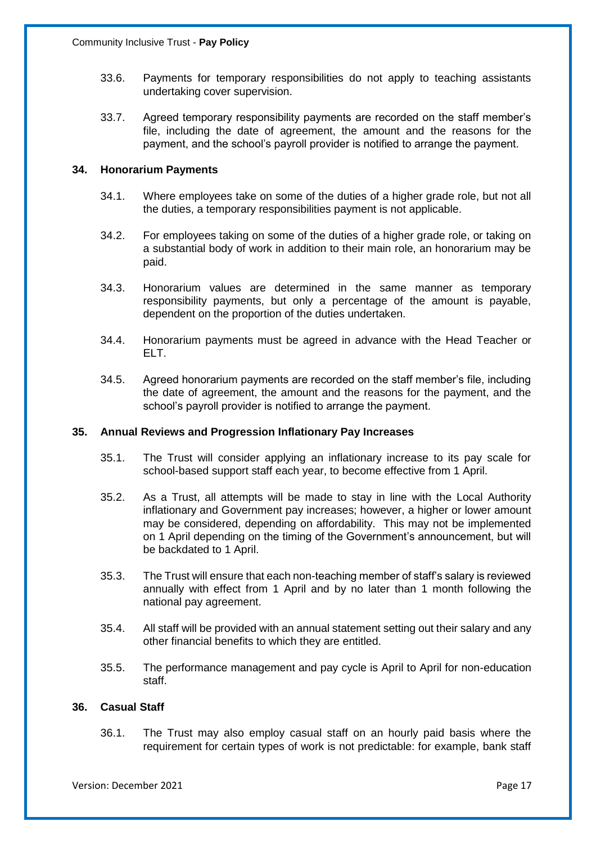- 33.6. Payments for temporary responsibilities do not apply to teaching assistants undertaking cover supervision.
- 33.7. Agreed temporary responsibility payments are recorded on the staff member's file, including the date of agreement, the amount and the reasons for the payment, and the school's payroll provider is notified to arrange the payment.

#### **34. Honorarium Payments**

- 34.1. Where employees take on some of the duties of a higher grade role, but not all the duties, a temporary responsibilities payment is not applicable.
- 34.2. For employees taking on some of the duties of a higher grade role, or taking on a substantial body of work in addition to their main role, an honorarium may be paid.
- 34.3. Honorarium values are determined in the same manner as temporary responsibility payments, but only a percentage of the amount is payable, dependent on the proportion of the duties undertaken.
- 34.4. Honorarium payments must be agreed in advance with the Head Teacher or ELT.
- 34.5. Agreed honorarium payments are recorded on the staff member's file, including the date of agreement, the amount and the reasons for the payment, and the school's payroll provider is notified to arrange the payment.

#### **35. Annual Reviews and Progression Inflationary Pay Increases**

- 35.1. The Trust will consider applying an inflationary increase to its pay scale for school-based support staff each year, to become effective from 1 April.
- 35.2. As a Trust, all attempts will be made to stay in line with the Local Authority inflationary and Government pay increases; however, a higher or lower amount may be considered, depending on affordability. This may not be implemented on 1 April depending on the timing of the Government's announcement, but will be backdated to 1 April.
- 35.3. The Trust will ensure that each non-teaching member of staff's salary is reviewed annually with effect from 1 April and by no later than 1 month following the national pay agreement.
- 35.4. All staff will be provided with an annual statement setting out their salary and any other financial benefits to which they are entitled.
- 35.5. The performance management and pay cycle is April to April for non-education staff.

#### **36. Casual Staff**

36.1. The Trust may also employ casual staff on an hourly paid basis where the requirement for certain types of work is not predictable: for example, bank staff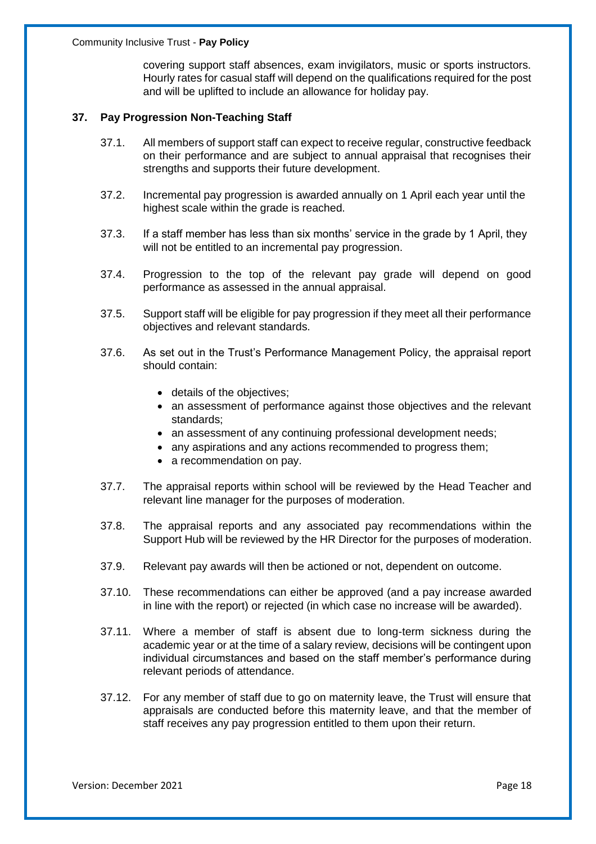covering support staff absences, exam invigilators, music or sports instructors. Hourly rates for casual staff will depend on the qualifications required for the post and will be uplifted to include an allowance for holiday pay.

#### **37. Pay Progression Non-Teaching Staff**

- 37.1. All members of support staff can expect to receive regular, constructive feedback on their performance and are subject to annual appraisal that recognises their strengths and supports their future development.
- 37.2. Incremental pay progression is awarded annually on 1 April each year until the highest scale within the grade is reached.
- 37.3. If a staff member has less than six months' service in the grade by 1 April, they will not be entitled to an incremental pay progression.
- 37.4. Progression to the top of the relevant pay grade will depend on good performance as assessed in the annual appraisal.
- 37.5. Support staff will be eligible for pay progression if they meet all their performance objectives and relevant standards.
- 37.6. As set out in the Trust's Performance Management Policy, the appraisal report should contain:
	- details of the objectives;
	- an assessment of performance against those objectives and the relevant standards;
	- an assessment of any continuing professional development needs;
	- any aspirations and any actions recommended to progress them;
	- a recommendation on pay.
- 37.7. The appraisal reports within school will be reviewed by the Head Teacher and relevant line manager for the purposes of moderation.
- 37.8. The appraisal reports and any associated pay recommendations within the Support Hub will be reviewed by the HR Director for the purposes of moderation.
- 37.9. Relevant pay awards will then be actioned or not, dependent on outcome.
- 37.10. These recommendations can either be approved (and a pay increase awarded in line with the report) or rejected (in which case no increase will be awarded).
- 37.11. Where a member of staff is absent due to long-term sickness during the academic year or at the time of a salary review, decisions will be contingent upon individual circumstances and based on the staff member's performance during relevant periods of attendance.
- 37.12. For any member of staff due to go on maternity leave, the Trust will ensure that appraisals are conducted before this maternity leave, and that the member of staff receives any pay progression entitled to them upon their return.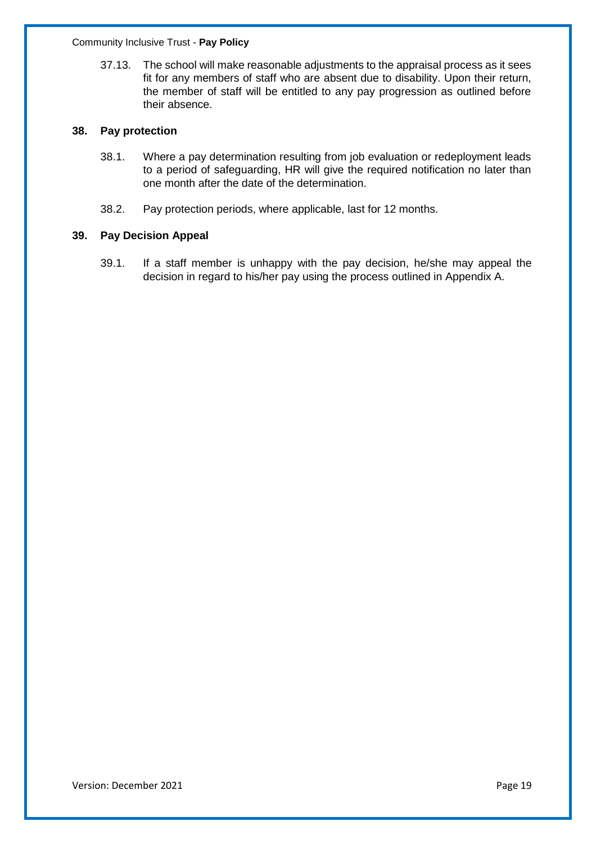37.13. The school will make reasonable adjustments to the appraisal process as it sees fit for any members of staff who are absent due to disability. Upon their return, the member of staff will be entitled to any pay progression as outlined before their absence.

#### **38. Pay protection**

- 38.1. Where a pay determination resulting from job evaluation or redeployment leads to a period of safeguarding, HR will give the required notification no later than one month after the date of the determination.
- 38.2. Pay protection periods, where applicable, last for 12 months.

#### **39. Pay Decision Appeal**

39.1. If a staff member is unhappy with the pay decision, he/she may appeal the decision in regard to his/her pay using the process outlined in Appendix A.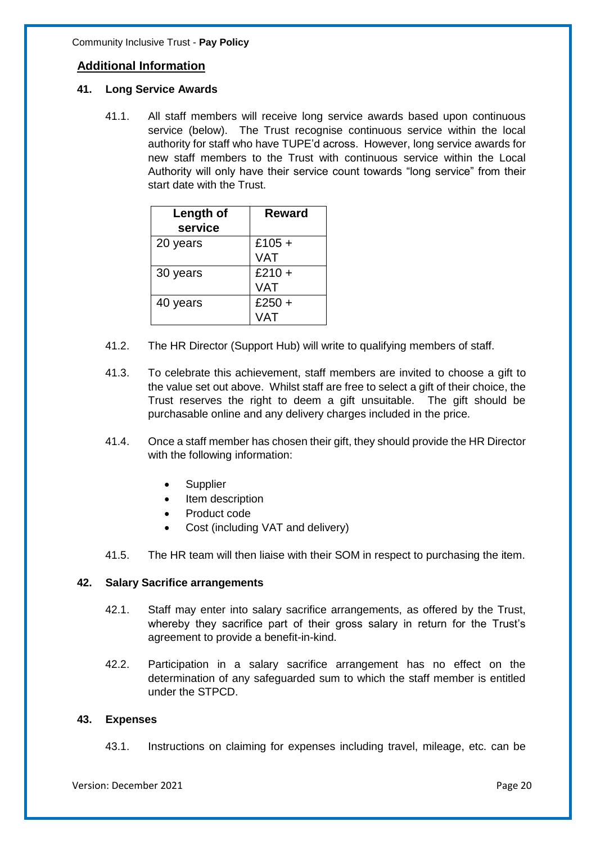#### **Additional Information**

#### **41. Long Service Awards**

41.1. All staff members will receive long service awards based upon continuous service (below). The Trust recognise continuous service within the local authority for staff who have TUPE'd across. However, long service awards for new staff members to the Trust with continuous service within the Local Authority will only have their service count towards "long service" from their start date with the Trust.

| Length of<br>service | <b>Reward</b> |
|----------------------|---------------|
| 20 years             | £105 +        |
|                      | <b>VAT</b>    |
| 30 years             | $£210 +$      |
|                      | <b>VAT</b>    |
| 40 years             | $£250 +$      |
|                      | VAT           |

- 41.2. The HR Director (Support Hub) will write to qualifying members of staff.
- 41.3. To celebrate this achievement, staff members are invited to choose a gift to the value set out above. Whilst staff are free to select a gift of their choice, the Trust reserves the right to deem a gift unsuitable. The gift should be purchasable online and any delivery charges included in the price.
- 41.4. Once a staff member has chosen their gift, they should provide the HR Director with the following information:
	- **Supplier**
	- Item description
	- Product code
	- Cost (including VAT and delivery)
- 41.5. The HR team will then liaise with their SOM in respect to purchasing the item.

#### **42. Salary Sacrifice arrangements**

- 42.1. Staff may enter into salary sacrifice arrangements, as offered by the Trust, whereby they sacrifice part of their gross salary in return for the Trust's agreement to provide a benefit-in-kind.
- 42.2. Participation in a salary sacrifice arrangement has no effect on the determination of any safeguarded sum to which the staff member is entitled under the STPCD.

#### **43. Expenses**

43.1. Instructions on claiming for expenses including travel, mileage, etc. can be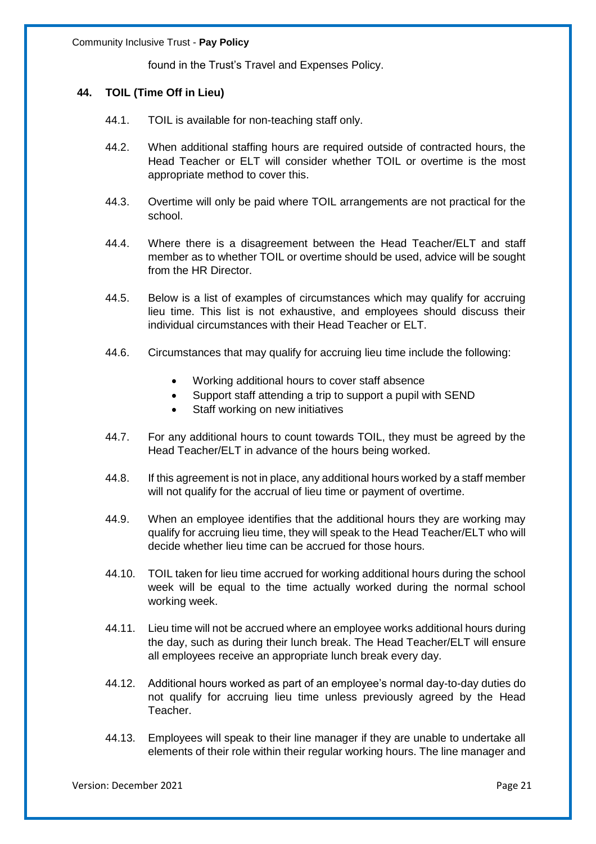found in the Trust's Travel and Expenses Policy.

#### **44. TOIL (Time Off in Lieu)**

- 44.1. TOIL is available for non-teaching staff only.
- 44.2. When additional staffing hours are required outside of contracted hours, the Head Teacher or ELT will consider whether TOIL or overtime is the most appropriate method to cover this.
- 44.3. Overtime will only be paid where TOIL arrangements are not practical for the school.
- 44.4. Where there is a disagreement between the Head Teacher/ELT and staff member as to whether TOIL or overtime should be used, advice will be sought from the HR Director.
- 44.5. Below is a list of examples of circumstances which may qualify for accruing lieu time. This list is not exhaustive, and employees should discuss their individual circumstances with their Head Teacher or ELT.
- 44.6. Circumstances that may qualify for accruing lieu time include the following:
	- Working additional hours to cover staff absence
	- Support staff attending a trip to support a pupil with SEND
	- Staff working on new initiatives
- 44.7. For any additional hours to count towards TOIL, they must be agreed by the Head Teacher/ELT in advance of the hours being worked.
- 44.8. If this agreement is not in place, any additional hours worked by a staff member will not qualify for the accrual of lieu time or payment of overtime.
- 44.9. When an employee identifies that the additional hours they are working may qualify for accruing lieu time, they will speak to the Head Teacher/ELT who will decide whether lieu time can be accrued for those hours.
- 44.10. TOIL taken for lieu time accrued for working additional hours during the school week will be equal to the time actually worked during the normal school working week.
- 44.11. Lieu time will not be accrued where an employee works additional hours during the day, such as during their lunch break. The Head Teacher/ELT will ensure all employees receive an appropriate lunch break every day.
- 44.12. Additional hours worked as part of an employee's normal day-to-day duties do not qualify for accruing lieu time unless previously agreed by the Head Teacher.
- 44.13. Employees will speak to their line manager if they are unable to undertake all elements of their role within their regular working hours. The line manager and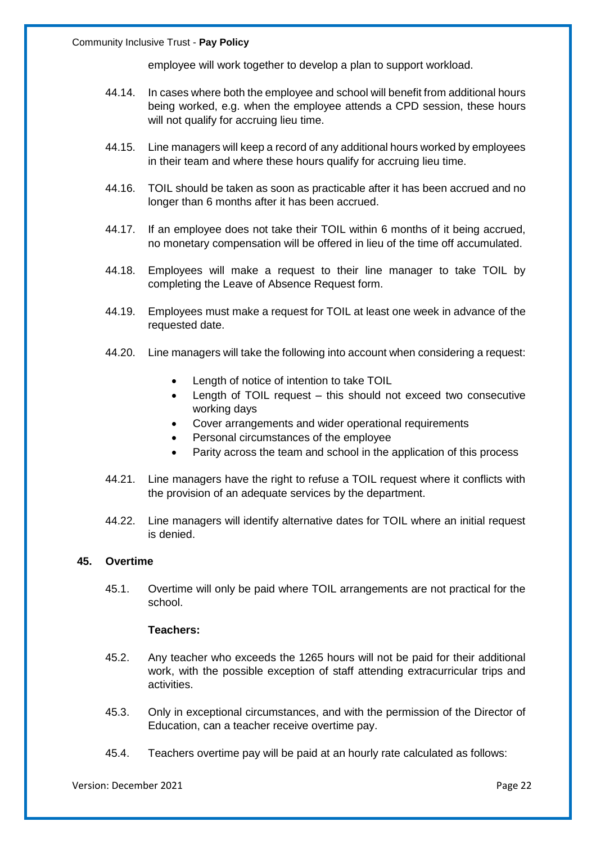employee will work together to develop a plan to support workload.

- 44.14. In cases where both the employee and school will benefit from additional hours being worked, e.g. when the employee attends a CPD session, these hours will not qualify for accruing lieu time.
- 44.15. Line managers will keep a record of any additional hours worked by employees in their team and where these hours qualify for accruing lieu time.
- 44.16. TOIL should be taken as soon as practicable after it has been accrued and no longer than 6 months after it has been accrued.
- 44.17. If an employee does not take their TOIL within 6 months of it being accrued, no monetary compensation will be offered in lieu of the time off accumulated.
- 44.18. Employees will make a request to their line manager to take TOIL by completing the Leave of Absence Request form.
- 44.19. Employees must make a request for TOIL at least one week in advance of the requested date.
- 44.20. Line managers will take the following into account when considering a request:
	- Length of notice of intention to take TOIL
	- Length of TOIL request this should not exceed two consecutive working days
	- Cover arrangements and wider operational requirements
	- Personal circumstances of the employee
	- Parity across the team and school in the application of this process
- 44.21. Line managers have the right to refuse a TOIL request where it conflicts with the provision of an adequate services by the department.
- 44.22. Line managers will identify alternative dates for TOIL where an initial request is denied.

#### **45. Overtime**

45.1. Overtime will only be paid where TOIL arrangements are not practical for the school.

#### **Teachers:**

- 45.2. Any teacher who exceeds the 1265 hours will not be paid for their additional work, with the possible exception of staff attending extracurricular trips and activities.
- 45.3. Only in exceptional circumstances, and with the permission of the Director of Education, can a teacher receive overtime pay.
- 45.4. Teachers overtime pay will be paid at an hourly rate calculated as follows: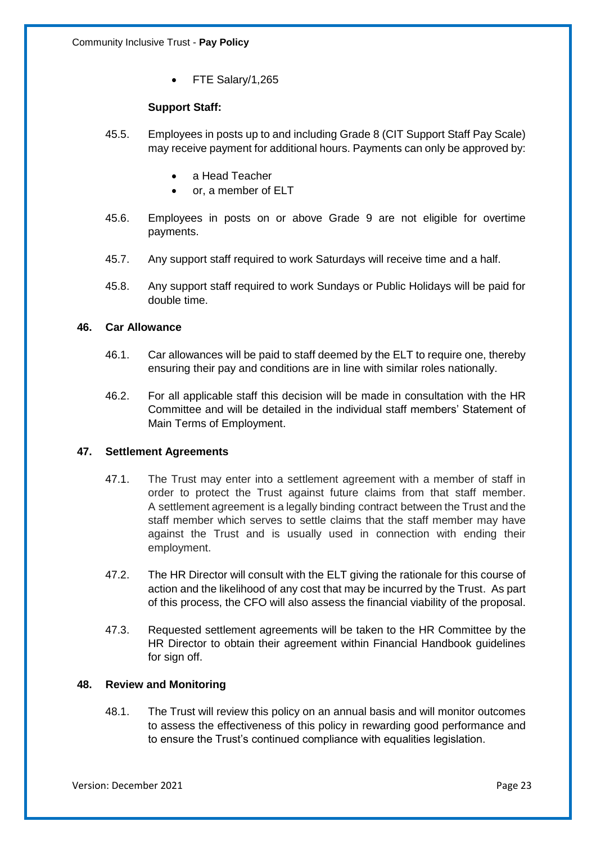• FTE Salary/1,265

#### **Support Staff:**

- 45.5. Employees in posts up to and including Grade 8 (CIT Support Staff Pay Scale) may receive payment for additional hours. Payments can only be approved by:
	- a Head Teacher
	- or, a member of ELT
- 45.6. Employees in posts on or above Grade 9 are not eligible for overtime payments.
- 45.7. Any support staff required to work Saturdays will receive time and a half.
- 45.8. Any support staff required to work Sundays or Public Holidays will be paid for double time.

#### **46. Car Allowance**

- 46.1. Car allowances will be paid to staff deemed by the ELT to require one, thereby ensuring their pay and conditions are in line with similar roles nationally.
- 46.2. For all applicable staff this decision will be made in consultation with the HR Committee and will be detailed in the individual staff members' Statement of Main Terms of Employment.

#### **47. Settlement Agreements**

- 47.1. The Trust may enter into a settlement agreement with a member of staff in order to protect the Trust against future claims from that staff member. A settlement agreement is a legally binding contract between the Trust and the staff member which serves to settle claims that the staff member may have against the Trust and is usually used in connection with ending their employment.
- 47.2. The HR Director will consult with the ELT giving the rationale for this course of action and the likelihood of any cost that may be incurred by the Trust. As part of this process, the CFO will also assess the financial viability of the proposal.
- 47.3. Requested settlement agreements will be taken to the HR Committee by the HR Director to obtain their agreement within Financial Handbook guidelines for sign off.

#### **48. Review and Monitoring**

48.1. The Trust will review this policy on an annual basis and will monitor outcomes to assess the effectiveness of this policy in rewarding good performance and to ensure the Trust's continued compliance with equalities legislation.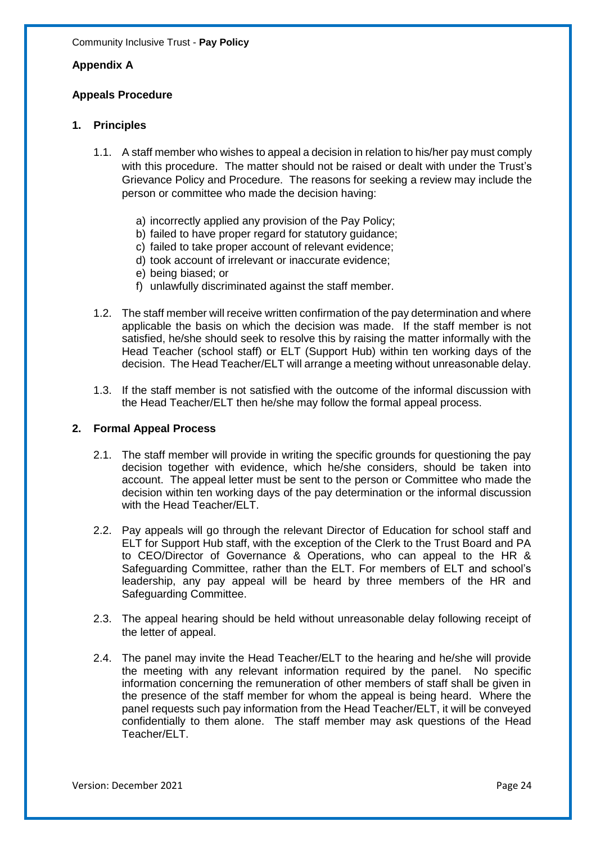#### **Appendix A**

#### **Appeals Procedure**

#### **1. Principles**

- 1.1. A staff member who wishes to appeal a decision in relation to his/her pay must comply with this procedure. The matter should not be raised or dealt with under the Trust's Grievance Policy and Procedure. The reasons for seeking a review may include the person or committee who made the decision having:
	- a) incorrectly applied any provision of the Pay Policy;
	- b) failed to have proper regard for statutory guidance;
	- c) failed to take proper account of relevant evidence;
	- d) took account of irrelevant or inaccurate evidence;
	- e) being biased; or
	- f) unlawfully discriminated against the staff member.
- 1.2. The staff member will receive written confirmation of the pay determination and where applicable the basis on which the decision was made. If the staff member is not satisfied, he/she should seek to resolve this by raising the matter informally with the Head Teacher (school staff) or ELT (Support Hub) within ten working days of the decision. The Head Teacher/ELT will arrange a meeting without unreasonable delay.
- 1.3. If the staff member is not satisfied with the outcome of the informal discussion with the Head Teacher/ELT then he/she may follow the formal appeal process.

#### **2. Formal Appeal Process**

- 2.1. The staff member will provide in writing the specific grounds for questioning the pay decision together with evidence, which he/she considers, should be taken into account. The appeal letter must be sent to the person or Committee who made the decision within ten working days of the pay determination or the informal discussion with the Head Teacher/ELT.
- 2.2. Pay appeals will go through the relevant Director of Education for school staff and ELT for Support Hub staff, with the exception of the Clerk to the Trust Board and PA to CEO/Director of Governance & Operations, who can appeal to the HR & Safeguarding Committee, rather than the ELT. For members of ELT and school's leadership, any pay appeal will be heard by three members of the HR and Safeguarding Committee.
- 2.3. The appeal hearing should be held without unreasonable delay following receipt of the letter of appeal.
- 2.4. The panel may invite the Head Teacher/ELT to the hearing and he/she will provide the meeting with any relevant information required by the panel. No specific information concerning the remuneration of other members of staff shall be given in the presence of the staff member for whom the appeal is being heard. Where the panel requests such pay information from the Head Teacher/ELT, it will be conveyed confidentially to them alone. The staff member may ask questions of the Head Teacher/ELT.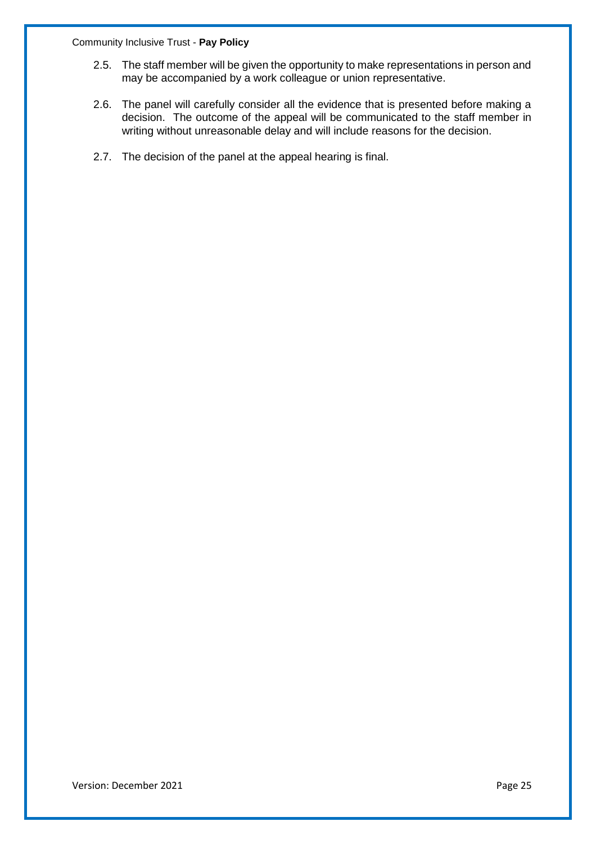- 2.5. The staff member will be given the opportunity to make representations in person and may be accompanied by a work colleague or union representative.
- 2.6. The panel will carefully consider all the evidence that is presented before making a decision. The outcome of the appeal will be communicated to the staff member in writing without unreasonable delay and will include reasons for the decision.
- 2.7. The decision of the panel at the appeal hearing is final.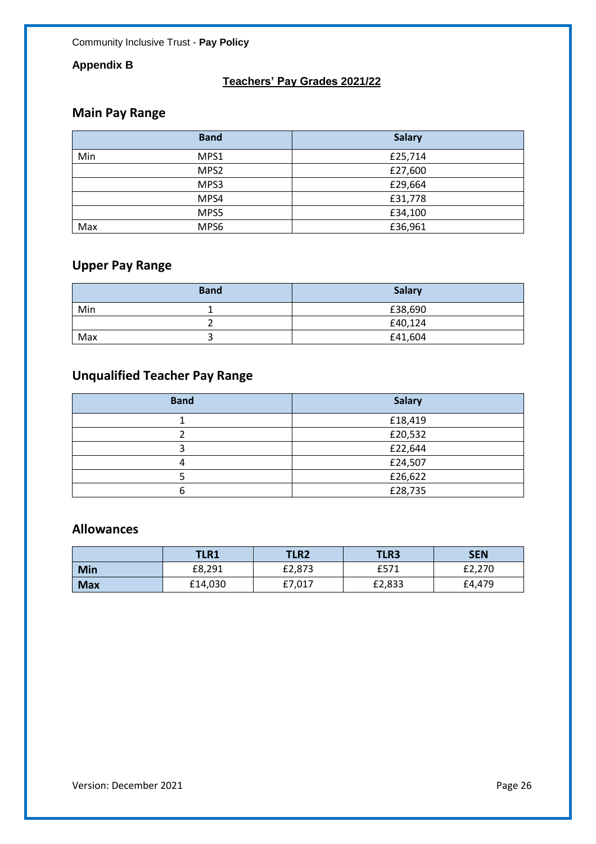## **Appendix B**

## **Teachers' Pay Grades 2021/22**

## **Main Pay Range**

|     | <b>Band</b>      | <b>Salary</b> |
|-----|------------------|---------------|
| Min | MPS1             | £25,714       |
|     | MPS <sub>2</sub> | £27,600       |
|     | MPS3             | £29,664       |
|     | MPS4             | £31,778       |
|     | MPS5             | £34,100       |
| Max | MPS6             | £36,961       |

# **Upper Pay Range**

|     | <b>Band</b> | <b>Salary</b> |
|-----|-------------|---------------|
| Min |             | £38,690       |
|     |             | £40,124       |
| Max |             | £41,604       |

# **Unqualified Teacher Pay Range**

| <b>Band</b> | <b>Salary</b> |
|-------------|---------------|
|             | £18,419       |
|             | £20,532       |
|             | £22,644       |
|             | £24,507       |
|             | £26,622       |
|             | £28,735       |

## **Allowances**

|            | <b>TLR1</b> | <b>TLR2</b> | <b>TLR3</b> | <b>SEN</b> |
|------------|-------------|-------------|-------------|------------|
| Min        | £8,291      | £2,873      | £571        | £2,270     |
| <b>Max</b> | £14,030     | £7,017      | £2,833      | £4,479     |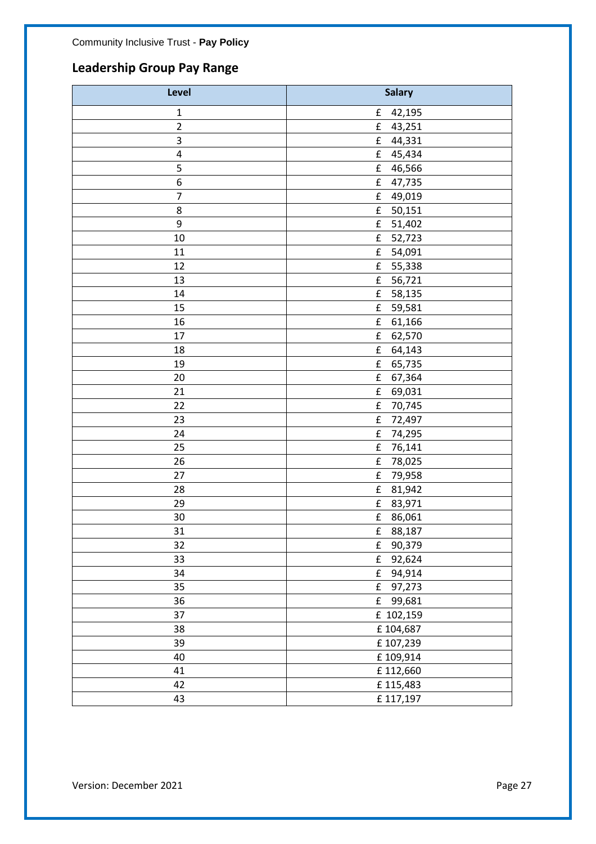# **Leadership Group Pay Range**

| Level          | <b>Salary</b>       |
|----------------|---------------------|
| $\mathbf{1}$   | £<br>42,195         |
| $\overline{c}$ | £<br>43,251         |
| 3              | £<br>44,331         |
| $\pmb{4}$      | £<br>45,434         |
| 5              | £<br>46,566         |
| 6              | £<br>47,735         |
| $\overline{7}$ | ${\bf f}$<br>49,019 |
| 8              | £<br>50,151         |
| 9              | £<br>51,402         |
| 10             | f<br>52,723         |
| 11             | £<br>54,091         |
| 12             | £<br>55,338         |
| 13             | f<br>56,721         |
| 14             | £<br>58,135         |
| 15             | £<br>59,581         |
| 16             | f<br>61,166         |
| 17             | £<br>62,570         |
| 18             | £<br>64,143         |
| 19             | £<br>65,735         |
| 20             | 67,364<br>£         |
| 21             | £<br>69,031         |
| 22             | £<br>70,745         |
| 23             | £<br>72,497         |
| 24             | £<br>74,295         |
| 25             | £<br>76,141         |
| 26             | £<br>78,025         |
| 27             | £<br>79,958         |
| 28             | f<br>81,942         |
| 29             | 83,971<br>f         |
| 30             | £<br>86,061         |
| 31             | £<br>88,187         |
| 32             | f<br>90,379         |
| 33             | 92,624<br>£         |
| 34             | £<br>94,914         |
| 35             | ${\bf f}$<br>97,273 |
| 36             | ${\bf f}$<br>99,681 |
| 37             | £ 102,159           |
| 38             | £104,687            |
| 39             | £107,239            |
| 40             | £109,914            |
| 41             | £112,660            |
| 42             | £115,483            |
| 43             | £117,197            |